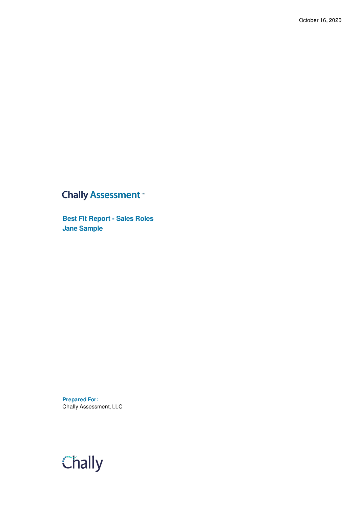## **Chally Assessment**<sup>™</sup>

**Best Fit Report - Sales Roles Jane Sample**

**Prepared For:** Chally Assessment, LLC

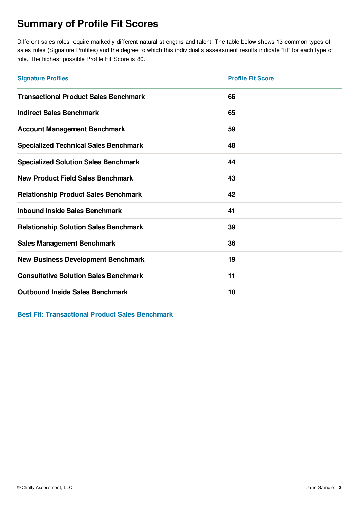## **Summary of Profile Fit Scores**

Different sales roles require markedly different natural strengths and talent. The table below shows 13 common types of sales roles (Signature Profiles) and the degree to which this individual's assessment results indicate "fit" for each type of role. The highest possible Profile Fit Score is 80.

| <b>Signature Profiles</b>                    | <b>Profile Fit Score</b> |
|----------------------------------------------|--------------------------|
| <b>Transactional Product Sales Benchmark</b> | 66                       |
| <b>Indirect Sales Benchmark</b>              | 65                       |
| <b>Account Management Benchmark</b>          | 59                       |
| <b>Specialized Technical Sales Benchmark</b> | 48                       |
| <b>Specialized Solution Sales Benchmark</b>  | 44                       |
| <b>New Product Field Sales Benchmark</b>     | 43                       |
| <b>Relationship Product Sales Benchmark</b>  | 42                       |
| <b>Inbound Inside Sales Benchmark</b>        | 41                       |
| <b>Relationship Solution Sales Benchmark</b> | 39                       |
| <b>Sales Management Benchmark</b>            | 36                       |
| <b>New Business Development Benchmark</b>    | 19                       |
| <b>Consultative Solution Sales Benchmark</b> | 11                       |
| <b>Outbound Inside Sales Benchmark</b>       | 10                       |

**Best Fit: Transactional Product Sales Benchmark**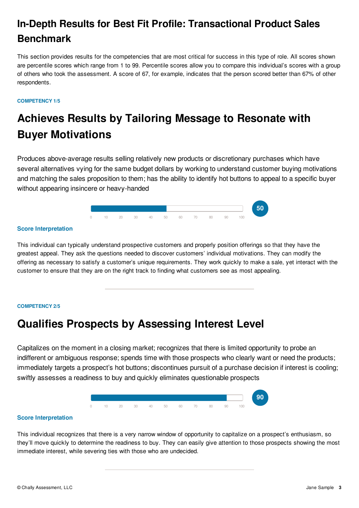## **In-Depth Results for Best Fit Profile: Transactional Product Sales Benchmark**

This section provides results for the competencies that are most critical for success in this type of role. All scores shown are percentile scores which range from 1 to 99. Percentile scores allow you to compare this individual's scores with a group of others who took the assessment. A score of 67, for example, indicates that the person scored better than 67% of other respondents.

### **COMPETENCY 1/5**

## **Achieves Results by Tailoring Message to Resonate with Buyer Motivations**

Produces above-average results selling relatively new products or discretionary purchases which have several alternatives vying for the same budget dollars by working to understand customer buying motivations and matching the sales proposition to them; has the ability to identify hot buttons to appeal to a specific buyer without appearing insincere or heavy-handed



#### **Score Interpretation**

This individual can typically understand prospective customers and properly position offerings so that they have the greatest appeal. They ask the questions needed to discover customers' individual motivations. They can modify the offering as necessary to satisfy a customer's unique requirements. They work quickly to make a sale, yet interact with the customer to ensure that they are on the right track to finding what customers see as most appealing.

#### **COMPETENCY 2/5**

## **Qualifies Prospects by Assessing Interest Level**

Capitalizes on the moment in a closing market; recognizes that there is limited opportunity to probe an indifferent or ambiguous response; spends time with those prospects who clearly want or need the products; immediately targets a prospect's hot buttons; discontinues pursuit of a purchase decision if interest is cooling; swiftly assesses a readiness to buy and quickly eliminates questionable prospects



#### **Score Interpretation**

This individual recognizes that there is a very narrow window of opportunity to capitalize on a prospect's enthusiasm, so they'll move quickly to determine the readiness to buy. They can easily give attention to those prospects showing the most immediate interest, while severing ties with those who are undecided.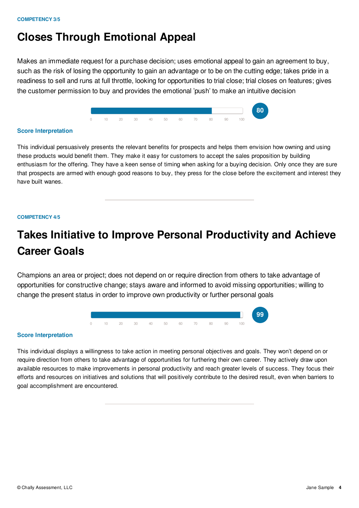## **Closes Through Emotional Appeal**

Makes an immediate request for a purchase decision; uses emotional appeal to gain an agreement to buy, such as the risk of losing the opportunity to gain an advantage or to be on the cutting edge; takes pride in a readiness to sell and runs at full throttle, looking for opportunities to trial close; trial closes on features; gives the customer permission to buy and provides the emotional 'push' to make an intuitive decision



#### **Score Interpretation**

This individual persuasively presents the relevant benefits for prospects and helps them envision how owning and using these products would benefit them. They make it easy for customers to accept the sales proposition by building enthusiasm for the offering. They have a keen sense of timing when asking for a buying decision. Only once they are sure that prospects are armed with enough good reasons to buy, they press for the close before the excitement and interest they have built wanes.

#### **COMPETENCY 4/5**

## **Takes Initiative to Improve Personal Productivity and Achieve Career Goals**

Champions an area or project; does not depend on or require direction from others to take advantage of opportunities for constructive change; stays aware and informed to avoid missing opportunities; willing to change the present status in order to improve own productivity or further personal goals



### **Score Interpretation**

This individual displays a willingness to take action in meeting personal objectives and goals. They won't depend on or require direction from others to take advantage of opportunities for furthering their own career. They actively draw upon available resources to make improvements in personal productivity and reach greater levels of success. They focus their efforts and resources on initiatives and solutions that will positively contribute to the desired result, even when barriers to goal accomplishment are encountered.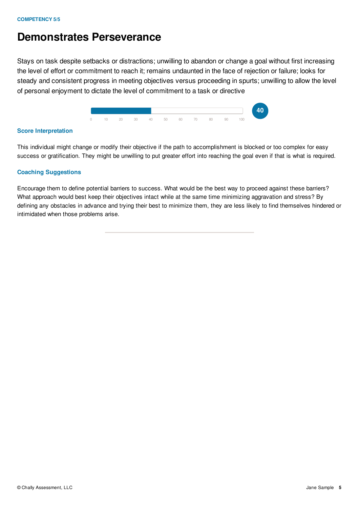## **Demonstrates Perseverance**

Stays on task despite setbacks or distractions; unwilling to abandon or change a goal without first increasing the level of effort or commitment to reach it; remains undaunted in the face of rejection or failure; looks for steady and consistent progress in meeting objectives versus proceeding in spurts; unwilling to allow the level of personal enjoyment to dictate the level of commitment to a task or directive



## **Score Interpretation**

This individual might change or modify their objective if the path to accomplishment is blocked or too complex for easy success or gratification. They might be unwilling to put greater effort into reaching the goal even if that is what is required.

## **Coaching Suggestions**

Encourage them to define potential barriers to success. What would be the best way to proceed against these barriers? What approach would best keep their objectives intact while at the same time minimizing aggravation and stress? By defining any obstacles in advance and trying their best to minimize them, they are less likely to find themselves hindered or intimidated when those problems arise.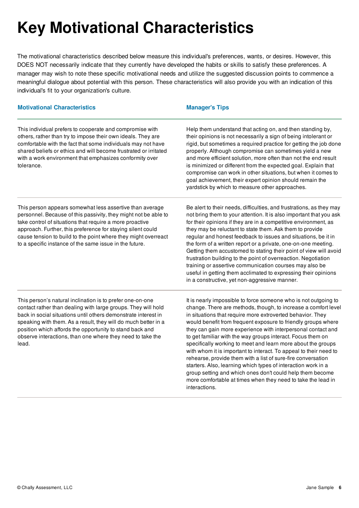# **Key Motivational Characteristics**

The motivational characteristics described below measure this individual's preferences, wants, or desires. However, this DOES NOT necessarily indicate that they currently have developed the habits or skills to satisfy these preferences. A manager may wish to note these specific motivational needs and utilize the suggested discussion points to commence a meaningful dialogue about potential with this person. These characteristics will also provide you with an indication of this individual's fit to your organization's culture.

| <b>Motivational Characteristics</b>                                                                                                                                                                                                                                                                                                                                                               | <b>Manager's Tips</b>                                                                                                                                                                                                                                                                                                                                                                                                                                                                                                                                                                                                                                                                                                                                                                                               |
|---------------------------------------------------------------------------------------------------------------------------------------------------------------------------------------------------------------------------------------------------------------------------------------------------------------------------------------------------------------------------------------------------|---------------------------------------------------------------------------------------------------------------------------------------------------------------------------------------------------------------------------------------------------------------------------------------------------------------------------------------------------------------------------------------------------------------------------------------------------------------------------------------------------------------------------------------------------------------------------------------------------------------------------------------------------------------------------------------------------------------------------------------------------------------------------------------------------------------------|
| This individual prefers to cooperate and compromise with<br>others, rather than try to impose their own ideals. They are<br>comfortable with the fact that some individuals may not have<br>shared beliefs or ethics and will become frustrated or irritated<br>with a work environment that emphasizes conformity over<br>tolerance.                                                             | Help them understand that acting on, and then standing by,<br>their opinions is not necessarily a sign of being intolerant or<br>rigid, but sometimes a required practice for getting the job done<br>properly. Although compromise can sometimes yield a new<br>and more efficient solution, more often than not the end result<br>is minimized or different from the expected goal. Explain that<br>compromise can work in other situations, but when it comes to<br>goal achievement, their expert opinion should remain the<br>yardstick by which to measure other approaches.                                                                                                                                                                                                                                  |
| This person appears somewhat less assertive than average<br>personnel. Because of this passivity, they might not be able to<br>take control of situations that require a more proactive<br>approach. Further, this preference for staying silent could<br>cause tension to build to the point where they might overreact<br>to a specific instance of the same issue in the future.               | Be alert to their needs, difficulties, and frustrations, as they may<br>not bring them to your attention. It is also important that you ask<br>for their opinions if they are in a competitive environment, as<br>they may be reluctant to state them. Ask them to provide<br>regular and honest feedback to issues and situations, be it in<br>the form of a written report or a private, one-on-one meeting.<br>Getting them accustomed to stating their point of view will avoid<br>frustration building to the point of overreaction. Negotiation<br>training or assertive communication courses may also be<br>useful in getting them acclimated to expressing their opinions<br>in a constructive, yet non-aggressive manner.                                                                                 |
| This person's natural inclination is to prefer one-on-one<br>contact rather than dealing with large groups. They will hold<br>back in social situations until others demonstrate interest in<br>speaking with them. As a result, they will do much better in a<br>position which affords the opportunity to stand back and<br>observe interactions, than one where they need to take the<br>lead. | It is nearly impossible to force someone who is not outgoing to<br>change. There are methods, though, to increase a comfort level<br>in situations that require more extroverted behavior. They<br>would benefit from frequent exposure to friendly groups where<br>they can gain more experience with interpersonal contact and<br>to get familiar with the way groups interact. Focus them on<br>specifically working to meet and learn more about the groups<br>with whom it is important to interact. To appeal to their need to<br>rehearse, provide them with a list of sure-fire conversation<br>starters. Also, learning which types of interaction work in a<br>group setting and which ones don't could help them become<br>more comfortable at times when they need to take the lead in<br>interactions. |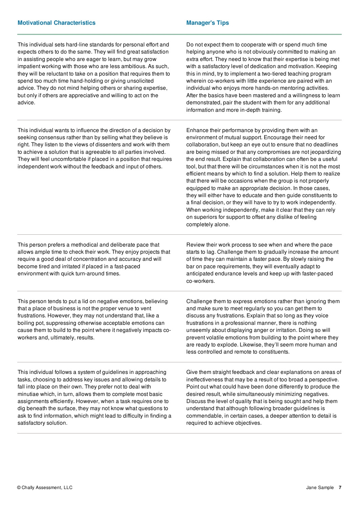| This individual sets hard-line standards for personal effort and<br>expects others to do the same. They will find great satisfaction<br>in assisting people who are eager to learn, but may grow<br>impatient working with those who are less ambitious. As such,<br>they will be reluctant to take on a position that requires them to<br>spend too much time hand-holding or giving unsolicited<br>advice. They do not mind helping others or sharing expertise,<br>but only if others are appreciative and willing to act on the<br>advice. | Do not expect them to cooperate with or spend much time<br>helping anyone who is not obviously committed to making an<br>extra effort. They need to know that their expertise is being met<br>with a satisfactory level of dedication and motivation. Keeping<br>this in mind, try to implement a two-tiered teaching program<br>wherein co-workers with little experience are paired with an<br>individual who enjoys more hands-on mentoring activities.<br>After the basics have been mastered and a willingness to learn<br>demonstrated, pair the student with them for any additional<br>information and more in-depth training.                                                                                                                                                                                                                                                 |
|------------------------------------------------------------------------------------------------------------------------------------------------------------------------------------------------------------------------------------------------------------------------------------------------------------------------------------------------------------------------------------------------------------------------------------------------------------------------------------------------------------------------------------------------|----------------------------------------------------------------------------------------------------------------------------------------------------------------------------------------------------------------------------------------------------------------------------------------------------------------------------------------------------------------------------------------------------------------------------------------------------------------------------------------------------------------------------------------------------------------------------------------------------------------------------------------------------------------------------------------------------------------------------------------------------------------------------------------------------------------------------------------------------------------------------------------|
| This individual wants to influence the direction of a decision by<br>seeking consensus rather than by selling what they believe is<br>right. They listen to the views of dissenters and work with them<br>to achieve a solution that is agreeable to all parties involved.<br>They will feel uncomfortable if placed in a position that requires<br>independent work without the feedback and input of others.                                                                                                                                 | Enhance their performance by providing them with an<br>environment of mutual support. Encourage their need for<br>collaboration, but keep an eye out to ensure that no deadlines<br>are being missed or that any compromises are not jeopardizing<br>the end result. Explain that collaboration can often be a useful<br>tool, but that there will be circumstances when it is not the most<br>efficient means by which to find a solution. Help them to realize<br>that there will be occasions when the group is not properly<br>equipped to make an appropriate decision. In those cases,<br>they will either have to educate and then guide constituents to<br>a final decision, or they will have to try to work independently.<br>When working independently, make it clear that they can rely<br>on superiors for support to offset any dislike of feeling<br>completely alone. |
| This person prefers a methodical and deliberate pace that<br>allows ample time to check their work. They enjoy projects that<br>require a good deal of concentration and accuracy and will<br>become tired and irritated if placed in a fast-paced<br>environment with quick turn-around times.                                                                                                                                                                                                                                                | Review their work process to see when and where the pace<br>starts to lag. Challenge them to gradually increase the amount<br>of time they can maintain a faster pace. By slowly raising the<br>bar on pace requirements, they will eventually adapt to<br>anticipated endurance levels and keep up with faster-paced<br>co-workers.                                                                                                                                                                                                                                                                                                                                                                                                                                                                                                                                                   |
| This person tends to put a lid on negative emotions, believing<br>that a place of business is not the proper venue to vent<br>frustrations. However, they may not understand that, like a<br>boiling pot, suppressing otherwise acceptable emotions can<br>cause them to build to the point where it negatively impacts co-<br>workers and, ultimately, results.                                                                                                                                                                               | Challenge them to express emotions rather than ignoring them<br>and make sure to meet regularly so you can get them to<br>discuss any frustrations. Explain that so long as they voice<br>frustrations in a professional manner, there is nothing<br>unseemly about displaying anger or irritation. Doing so will<br>prevent volatile emotions from building to the point where they<br>are ready to explode. Likewise, they'll seem more human and<br>less controlled and remote to constituents.                                                                                                                                                                                                                                                                                                                                                                                     |
| This individual follows a system of guidelines in approaching<br>tasks, choosing to address key issues and allowing details to<br>fall into place on their own. They prefer not to deal with<br>minutiae which, in turn, allows them to complete most basic<br>assignments efficiently. However, when a task requires one to<br>dig beneath the surface, they may not know what questions to<br>ask to find information, which might lead to difficulty in finding a<br>satisfactory solution.                                                 | Give them straight feedback and clear explanations on areas of<br>ineffectiveness that may be a result of too broad a perspective.<br>Point out what could have been done differently to produce the<br>desired result, while simultaneously minimizing negatives.<br>Discuss the level of quality that is being sought and help them<br>understand that although following broader guidelines is<br>commendable, in certain cases, a deeper attention to detail is<br>required to achieve objectives.                                                                                                                                                                                                                                                                                                                                                                                 |